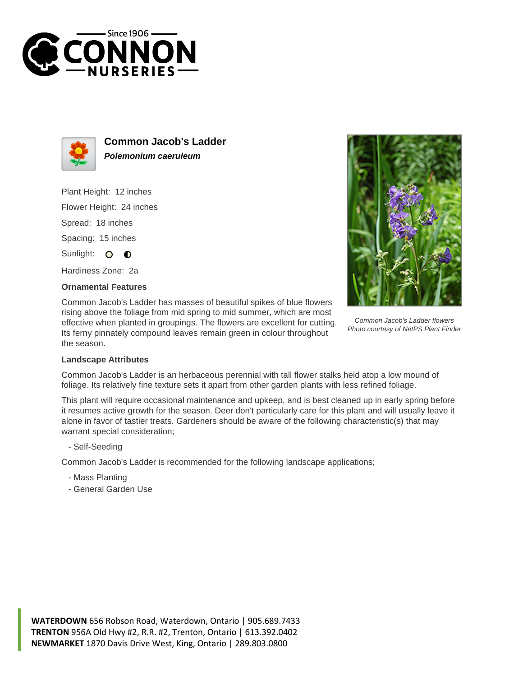



**Common Jacob's Ladder Polemonium caeruleum**

Plant Height: 12 inches

Flower Height: 24 inches

Spread: 18 inches

Spacing: 15 inches

Sunlight: O  $\bullet$ 

Hardiness Zone: 2a

## **Ornamental Features**

Common Jacob's Ladder has masses of beautiful spikes of blue flowers rising above the foliage from mid spring to mid summer, which are most effective when planted in groupings. The flowers are excellent for cutting. Its ferny pinnately compound leaves remain green in colour throughout the season.



Common Jacob's Ladder flowers Photo courtesy of NetPS Plant Finder

## **Landscape Attributes**

Common Jacob's Ladder is an herbaceous perennial with tall flower stalks held atop a low mound of foliage. Its relatively fine texture sets it apart from other garden plants with less refined foliage.

This plant will require occasional maintenance and upkeep, and is best cleaned up in early spring before it resumes active growth for the season. Deer don't particularly care for this plant and will usually leave it alone in favor of tastier treats. Gardeners should be aware of the following characteristic(s) that may warrant special consideration;

- Self-Seeding

Common Jacob's Ladder is recommended for the following landscape applications;

- Mass Planting
- General Garden Use

**WATERDOWN** 656 Robson Road, Waterdown, Ontario | 905.689.7433 **TRENTON** 956A Old Hwy #2, R.R. #2, Trenton, Ontario | 613.392.0402 **NEWMARKET** 1870 Davis Drive West, King, Ontario | 289.803.0800